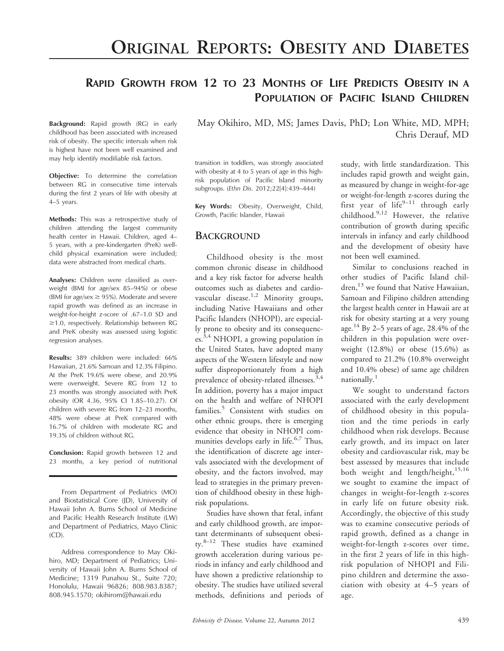# RAPID GROWTH FROM 12 TO 23 MONTHS OF LIFE PREDICTS OBESITY IN A POPULATION OF PACIFIC ISLAND CHILDREN

Background: Rapid growth (RG) in early childhood has been associated with increased risk of obesity. The specific intervals when risk is highest have not been well examined and may help identify modifiable risk factors.

Objective: To determine the correlation between RG in consecutive time intervals during the first 2 years of life with obesity at 4–5 years.

Methods: This was a retrospective study of children attending the largest community health center in Hawaii. Children, aged 4– 5 years, with a pre-kindergarten (PreK) wellchild physical examination were included; data were abstracted from medical charts.

Analyses: Children were classified as overweight (BMI for age/sex 85–94%) or obese (BMI for age/sex  $\geq$  95%). Moderate and severe rapid growth was defined as an increase in weight-for-height z-score of .67–1.0 SD and  $\geq$ 1.0, respectively. Relationship between RG and PreK obesity was assessed using logistic regression analyses.

Results: 389 children were included: 66% Hawaiian, 21.6% Samoan and 12.3% Filipino. At the PreK 19.6% were obese, and 20.9% were overweight. Severe RG from 12 to 23 months was strongly associated with PreK obesity (OR 4.36, 95% CI 1.85–10.27). Of children with severe RG from 12–23 months, 48% were obese at PreK compared with 16.7% of children with moderate RG and 19.3% of children without RG.

Conclusion: Rapid growth between 12 and 23 months, a key period of nutritional

From Department of Pediatrics (MO) and Biostatistical Core (JD), University of Hawaii John A. Burns School of Medicine and Pacific Health Research Institute (LW) and Department of Pediatrics, Mayo Clinic (CD).

Address correspondence to May Okihiro, MD; Department of Pediatrics; University of Hawaii John A. Burns School of Medicine; 1319 Punahou St., Suite 720; Honolulu, Hawaii 96826; 808.983.8387; 808.945.1570; okihirom@hawaii.edu

May Okihiro, MD, MS; James Davis, PhD; Lon White, MD, MPH; Chris Derauf, MD

transition in toddlers, was strongly associated with obesity at 4 to 5 years of age in this highrisk population of Pacific Island minority subgroups. (Ethn Dis. 2012;22[4]:439–444)

Key Words: Obesity, Overweight, Child, Growth, Pacific Islander, Hawaii

#### **BACKGROUND**

Childhood obesity is the most common chronic disease in childhood and a key risk factor for adverse health outcomes such as diabetes and cardiovascular disease.<sup>1,2</sup> Minority groups, including Native Hawaiians and other Pacific Islanders (NHOPI), are especially prone to obesity and its consequences.3,4 NHOPI, a growing population in the United States, have adopted many aspects of the Western lifestyle and now suffer disproportionately from a high prevalence of obesity-related illnesses.<sup>3,4</sup> In addition, poverty has a major impact on the health and welfare of NHOPI families.<sup>5</sup> Consistent with studies on other ethnic groups, there is emerging evidence that obesity in NHOPI communities develops early in life.<sup>6,7</sup> Thus, the identification of discrete age intervals associated with the development of obesity, and the factors involved, may lead to strategies in the primary prevention of childhood obesity in these highrisk populations.

Studies have shown that fetal, infant and early childhood growth, are important determinants of subsequent obesity.8–12 These studies have examined growth acceleration during various periods in infancy and early childhood and have shown a predictive relationship to obesity. The studies have utilized several methods, definitions and periods of

study, with little standardization. This includes rapid growth and weight gain, as measured by change in weight-for-age or weight-for-length z-scores during the first year of life $9-11$  through early childhood.9,12 However, the relative contribution of growth during specific intervals in infancy and early childhood and the development of obesity have not been well examined.

Similar to conclusions reached in other studies of Pacific Island children, $^{13}$  we found that Native Hawaiian, Samoan and Filipino children attending the largest health center in Hawaii are at risk for obesity starting at a very young age. <sup>14</sup> By 2–5 years of age, 28.4% of the children in this population were overweight (12.8%) or obese (15.6%) as compared to 21.2% (10.8% overweight and 10.4% obese) of same age children nationally.<sup>1</sup>

We sought to understand factors associated with the early development of childhood obesity in this population and the time periods in early childhood when risk develops. Because early growth, and its impact on later obesity and cardiovascular risk, may be best assessed by measures that include both weight and length/height,<sup>15,16</sup> we sought to examine the impact of changes in weight-for-length z-scores in early life on future obesity risk. Accordingly, the objective of this study was to examine consecutive periods of rapid growth, defined as a change in weight-for-length z-scores over time, in the first 2 years of life in this highrisk population of NHOPI and Filipino children and determine the association with obesity at 4–5 years of age.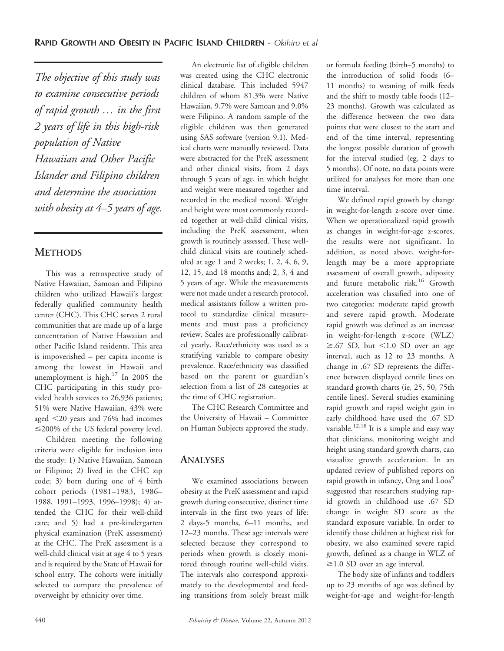The objective of this study was to examine consecutive periods of rapid growth … in the first 2 years of life in this high-risk population of Native Hawaiian and Other Pacific Islander and Filipino children and determine the association with obesity at  $4-5$  years of age.

## **METHODS**

This was a retrospective study of Native Hawaiian, Samoan and Filipino children who utilized Hawaii's largest federally qualified community health center (CHC). This CHC serves 2 rural communities that are made up of a large concentration of Native Hawaiian and other Pacific Island residents. This area is impoverished – per capita income is among the lowest in Hawaii and unemployment is high.<sup>17</sup> In 2005 the CHC participating in this study provided health services to 26,936 patients; 51% were Native Hawaiian, 43% were aged  $\leq$ 20 years and 76% had incomes  $\leq$ 200% of the US federal poverty level.

Children meeting the following criteria were eligible for inclusion into the study: 1) Native Hawaiian, Samoan or Filipino; 2) lived in the CHC zip code; 3) born during one of 4 birth cohort periods (1981–1983, 1986– 1988, 1991–1993, 1996–1998); 4) attended the CHC for their well-child care; and 5) had a pre-kindergarten physical examination (PreK assessment) at the CHC. The PreK assessment is a well-child clinical visit at age 4 to 5 years and is required by the State of Hawaii for school entry. The cohorts were initially selected to compare the prevalence of overweight by ethnicity over time.

An electronic list of eligible children was created using the CHC electronic clinical database. This included 5947 children of whom 81.3% were Native Hawaiian, 9.7% were Samoan and 9.0% were Filipino. A random sample of the eligible children was then generated using SAS software (version 9.1). Medical charts were manually reviewed. Data were abstracted for the PreK assessment and other clinical visits, from 2 days through 5 years of age, in which height and weight were measured together and recorded in the medical record. Weight and height were most commonly recorded together at well-child clinical visits, including the PreK assessment, when growth is routinely assessed. These wellchild clinical visits are routinely scheduled at age 1 and 2 weeks; 1, 2, 4, 6, 9, 12, 15, and 18 months and; 2, 3, 4 and 5 years of age. While the measurements were not made under a research protocol, medical assistants follow a written protocol to standardize clinical measurements and must pass a proficiency review. Scales are professionally calibrated yearly. Race/ethnicity was used as a stratifying variable to compare obesity prevalence. Race/ethnicity was classified based on the parent or guardian's selection from a list of 28 categories at the time of CHC registration.

The CHC Research Committee and the University of Hawaii – Committee on Human Subjects approved the study.

### ANALYSES

We examined associations between obesity at the PreK assessment and rapid growth during consecutive, distinct time intervals in the first two years of life: 2 days-5 months, 6–11 months, and 12–23 months. These age intervals were selected because they correspond to periods when growth is closely monitored through routine well-child visits. The intervals also correspond approximately to the developmental and feeding transitions from solely breast milk or formula feeding (birth–5 months) to the introduction of solid foods (6– 11 months) to weaning of milk feeds and the shift to mostly table foods (12– 23 months). Growth was calculated as the difference between the two data points that were closest to the start and end of the time interval, representing the longest possible duration of growth for the interval studied (eg, 2 days to 5 months). Of note, no data points were utilized for analyses for more than one time interval.

We defined rapid growth by change in weight-for-length z-score over time. When we operationalized rapid growth as changes in weight-for-age z-scores, the results were not significant. In addition, as noted above, weight-forlength may be a more appropriate assessment of overall growth, adiposity and future metabolic risk.<sup>16</sup> Growth acceleration was classified into one of two categories: moderate rapid growth and severe rapid growth. Moderate rapid growth was defined as an increase in weight-for-length z-score (WLZ)  $\geq$ .67 SD, but <1.0 SD over an age interval, such as 12 to 23 months. A change in .67 SD represents the difference between displayed centile lines on standard growth charts (ie, 25, 50, 75th centile lines). Several studies examining rapid growth and rapid weight gain in early childhood have used the .67 SD variable.<sup>12,18</sup> It is a simple and easy way that clinicians, monitoring weight and height using standard growth charts, can visualize growth acceleration. In an updated review of published reports on rapid growth in infancy, Ong and Loos<sup>9</sup> suggested that researchers studying rapid growth in childhood use .67 SD change in weight SD score as the standard exposure variable. In order to identify those children at highest risk for obesity, we also examined severe rapid growth, defined as a change in WLZ of  $\geq$ 1.0 SD over an age interval.

The body size of infants and toddlers up to 23 months of age was defined by weight-for-age and weight-for-length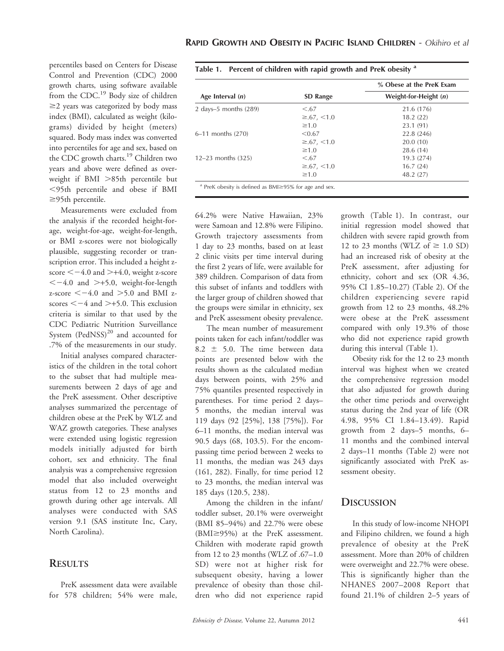percentiles based on Centers for Disease Control and Prevention (CDC) 2000 growth charts, using software available from the CDC.19 Body size of children  $\geq$  years was categorized by body mass index (BMI), calculated as weight (kilograms) divided by height (meters) squared. Body mass index was converted into percentiles for age and sex, based on the CDC growth charts.<sup>19</sup> Children two years and above were defined as overweight if BMI >85th percentile but ,95th percentile and obese if BMI  $\geq$ 95th percentile.

Measurements were excluded from the analysis if the recorded height-forage, weight-for-age, weight-for-length, or BMI z-scores were not biologically plausible, suggesting recorder or transcription error. This included a height zscore  $<-4.0$  and  $>+4.0$ , weight z-score  $<-4.0$  and  $>+5.0$ , weight-for-length z-score  $<-4.0$  and  $>5.0$  and BMI zscores  $<-4$  and  $>+5.0$ . This exclusion criteria is similar to that used by the CDC Pediatric Nutrition Surveillance System (PedNSS)<sup>20</sup> and accounted for .7% of the measurements in our study.

Initial analyses compared characteristics of the children in the total cohort to the subset that had multiple measurements between 2 days of age and the PreK assessment. Other descriptive analyses summarized the percentage of children obese at the PreK by WLZ and WAZ growth categories. These analyses were extended using logistic regression models initially adjusted for birth cohort, sex and ethnicity. The final analysis was a comprehensive regression model that also included overweight status from 12 to 23 months and growth during other age intervals. All analyses were conducted with SAS version 9.1 (SAS institute Inc, Cary, North Carolina).

#### **RESULTS**

PreK assessment data were available for 578 children; 54% were male,

|                          |                     | % Obese at the PreK Exam |
|--------------------------|---------------------|--------------------------|
| Age Interval $(n)$       | <b>SD Range</b>     | Weight-for-Height $(n)$  |
| 2 days-5 months $(289)$  | < 67                | 21.6 (176)               |
|                          | $\geq 67, \leq 1.0$ | 18.2(22)                 |
|                          | $\geq 1.0$          | 23.1(91)                 |
| $6-11$ months $(270)$    | < 0.67              | 22.8 (246)               |
|                          | $\geq 67, \leq 1.0$ | 20.0(10)                 |
|                          | $\geq 1.0$          | 28.6 (14)                |
| $12 - 23$ months $(325)$ | < .67               | 19.3 (274)               |
|                          | $\geq 67, \leq 1.0$ | 16.7(24)                 |
|                          | $\geq 1.0$          | 48.2 (27)                |

Table 1. Percent of children with rapid growth and PreK obesity  $a$ 

64.2% were Native Hawaiian, 23% were Samoan and 12.8% were Filipino. Growth trajectory assessments from 1 day to 23 months, based on at least 2 clinic visits per time interval during the first 2 years of life, were available for 389 children. Comparison of data from this subset of infants and toddlers with the larger group of children showed that the groups were similar in ethnicity, sex and PreK assessment obesity prevalence.

The mean number of measurement points taken for each infant/toddler was 8.2  $\pm$  5.0. The time between data points are presented below with the results shown as the calculated median days between points, with 25% and 75% quantiles presented respectively in parentheses. For time period 2 days– 5 months, the median interval was 119 days (92 [25%], 138 [75%]). For 6–11 months, the median interval was 90.5 days (68, 103.5). For the encompassing time period between 2 weeks to 11 months, the median was 243 days (161, 282). Finally, for time period 12 to 23 months, the median interval was 185 days (120.5, 238).

Among the children in the infant/ toddler subset, 20.1% were overweight (BMI 85–94%) and 22.7% were obese  $(BMI \ge 95\%)$  at the PreK assessment. Children with moderate rapid growth from 12 to 23 months (WLZ of .67–1.0 SD) were not at higher risk for subsequent obesity, having a lower prevalence of obesity than those children who did not experience rapid growth (Table 1). In contrast, our initial regression model showed that children with severe rapid growth from 12 to 23 months (WLZ of  $\geq$  1.0 SD) had an increased risk of obesity at the PreK assessment, after adjusting for ethnicity, cohort and sex (OR 4.36, 95% CI 1.85–10.27) (Table 2). Of the children experiencing severe rapid growth from 12 to 23 months, 48.2% were obese at the PreK assessment compared with only 19.3% of those who did not experience rapid growth during this interval (Table 1).

Obesity risk for the 12 to 23 month interval was highest when we created the comprehensive regression model that also adjusted for growth during the other time periods and overweight status during the 2nd year of life (OR 4.98, 95% CI 1.84–13.49). Rapid growth from 2 days–5 months, 6– 11 months and the combined interval 2 days–11 months (Table 2) were not significantly associated with PreK assessment obesity.

### **DISCUSSION**

In this study of low-income NHOPI and Filipino children, we found a high prevalence of obesity at the PreK assessment. More than 20% of children were overweight and 22.7% were obese. This is significantly higher than the NHANES 2007–2008 Report that found 21.1% of children 2–5 years of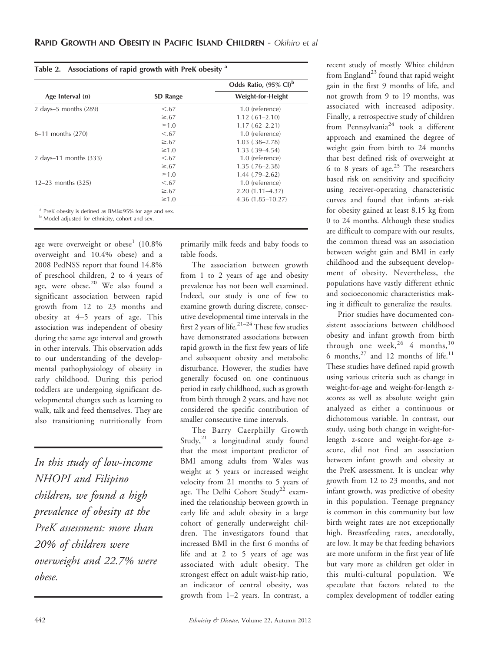| Table 2. Associations of rapid growth with PreK obesity <sup>a</sup> |  |  |
|----------------------------------------------------------------------|--|--|
|----------------------------------------------------------------------|--|--|

|                                                                                                                                                                                                                                                                                                                                                     |                 | Odds Ratio, (95% CI) <sup>b</sup> |  |
|-----------------------------------------------------------------------------------------------------------------------------------------------------------------------------------------------------------------------------------------------------------------------------------------------------------------------------------------------------|-----------------|-----------------------------------|--|
| Age Interval $(n)$                                                                                                                                                                                                                                                                                                                                  | <b>SD</b> Range | <b>Weight-for-Height</b>          |  |
| 2 days-5 months $(289)$                                                                                                                                                                                                                                                                                                                             | < 67            | 1.0 (reference)                   |  |
|                                                                                                                                                                                                                                                                                                                                                     | $\geq 67$       | $1.12(.61 - 2.10)$                |  |
|                                                                                                                                                                                                                                                                                                                                                     | $\geq 1.0$      | $1.17(.62 - 2.21)$                |  |
| $6-11$ months $(270)$                                                                                                                                                                                                                                                                                                                               | < 67            | 1.0 (reference)                   |  |
|                                                                                                                                                                                                                                                                                                                                                     | $\geq 67$       | $1.03$ $(.38-2.78)$               |  |
|                                                                                                                                                                                                                                                                                                                                                     | $\geq 1.0$      | $1.33$ $(.39-4.54)$               |  |
| 2 days-11 months (333)                                                                                                                                                                                                                                                                                                                              | < 67            | 1.0 (reference)                   |  |
|                                                                                                                                                                                                                                                                                                                                                     | $\geq 67$       | $1.35(.76 - 2.38)$                |  |
|                                                                                                                                                                                                                                                                                                                                                     | $\geq 1.0$      | $1.44$ $(.79-2.62)$               |  |
| $12 - 23$ months $(325)$                                                                                                                                                                                                                                                                                                                            | < 67            | 1.0 (reference)                   |  |
|                                                                                                                                                                                                                                                                                                                                                     | $\geq 67$       | $2.20(1.11 - 4.37)$               |  |
|                                                                                                                                                                                                                                                                                                                                                     | $\geq 1.0$      | $4.36(1.85 - 10.27)$              |  |
| $\overline{a}$ , $\overline{b}$ , $\overline{b}$ , $\overline{c}$ , $\overline{a}$ , $\overline{a}$ , $\overline{a}$ , $\overline{a}$ , $\overline{a}$ , $\overline{a}$ , $\overline{a}$ , $\overline{a}$ , $\overline{a}$ , $\overline{a}$ , $\overline{a}$ , $\overline{a}$ , $\overline{a}$ , $\overline{a}$ , $\overline{a}$ , $\overline{a}$ , |                 |                                   |  |

 $a$  PreK obesity is defined as BMI $\geq$ 95% for age and sex.

<sup>b</sup> Model adjusted for ethnicity, cohort and sex.

age were overweight or  $obese<sup>1</sup>$  (10.8%) overweight and 10.4% obese) and a 2008 PedNSS report that found 14.8% of preschool children, 2 to 4 years of age, were obese.<sup>20</sup> We also found a significant association between rapid growth from 12 to 23 months and obesity at 4–5 years of age. This association was independent of obesity during the same age interval and growth in other intervals. This observation adds to our understanding of the developmental pathophysiology of obesity in early childhood. During this period toddlers are undergoing significant developmental changes such as learning to walk, talk and feed themselves. They are also transitioning nutritionally from

In this study of low-income NHOPI and Filipino children, we found a high prevalence of obesity at the PreK assessment: more than 20% of children were overweight and 22.7% were obese.

primarily milk feeds and baby foods to table foods.

The association between growth from 1 to 2 years of age and obesity prevalence has not been well examined. Indeed, our study is one of few to examine growth during discrete, consecutive developmental time intervals in the first 2 years of life. $2^{1-24}$  These few studies have demonstrated associations between rapid growth in the first few years of life and subsequent obesity and metabolic disturbance. However, the studies have generally focused on one continuous period in early childhood, such as growth from birth through 2 years, and have not considered the specific contribution of smaller consecutive time intervals.

The Barry Caerphilly Growth Study,<sup>21</sup> a longitudinal study found that the most important predictor of BMI among adults from Wales was weight at 5 years or increased weight velocity from 21 months to 5 years of age. The Delhi Cohort Study<sup>22</sup> examined the relationship between growth in early life and adult obesity in a large cohort of generally underweight children. The investigators found that increased BMI in the first 6 months of life and at 2 to 5 years of age was associated with adult obesity. The strongest effect on adult waist-hip ratio, an indicator of central obesity, was growth from 1–2 years. In contrast, a

recent study of mostly White children from England<sup>23</sup> found that rapid weight gain in the first 9 months of life, and not growth from 9 to 19 months, was associated with increased adiposity. Finally, a retrospective study of children from Pennsylvania<sup>24</sup> took a different approach and examined the degree of weight gain from birth to 24 months that best defined risk of overweight at 6 to 8 years of age. $25$  The researchers based risk on sensitivity and specificity using receiver-operating characteristic curves and found that infants at-risk for obesity gained at least 8.15 kg from 0 to 24 months. Although these studies are difficult to compare with our results, the common thread was an association between weight gain and BMI in early childhood and the subsequent development of obesity. Nevertheless, the populations have vastly different ethnic and socioeconomic characteristics making it difficult to generalize the results.

Prior studies have documented consistent associations between childhood obesity and infant growth from birth through one week,  $26$  4 months,  $10$ 6 months, $27$  and 12 months of life.<sup>11</sup> These studies have defined rapid growth using various criteria such as change in weight-for-age and weight-for-length zscores as well as absolute weight gain analyzed as either a continuous or dichotomous variable. In contrast, our study, using both change in weight-forlength z-score and weight-for-age zscore, did not find an association between infant growth and obesity at the PreK assessment. It is unclear why growth from 12 to 23 months, and not infant growth, was predictive of obesity in this population. Teenage pregnancy is common in this community but low birth weight rates are not exceptionally high. Breastfeeding rates, anecdotally, are low. It may be that feeding behaviors are more uniform in the first year of life but vary more as children get older in this multi-cultural population. We speculate that factors related to the complex development of toddler eating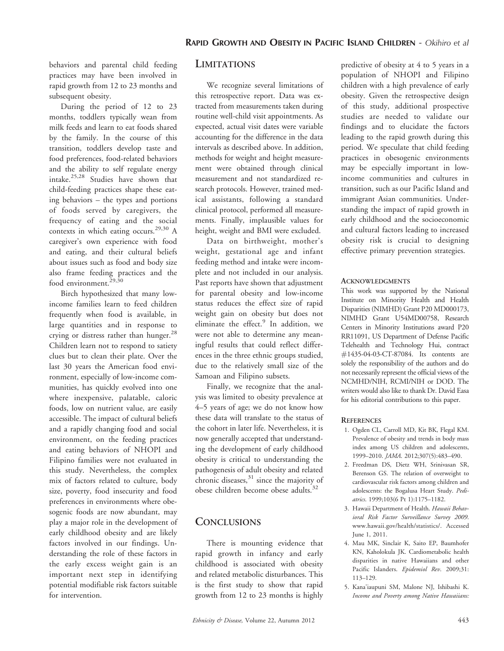behaviors and parental child feeding practices may have been involved in rapid growth from 12 to 23 months and subsequent obesity.

During the period of 12 to 23 months, toddlers typically wean from milk feeds and learn to eat foods shared by the family. In the course of this transition, toddlers develop taste and food preferences, food-related behaviors and the ability to self regulate energy intake.25,28 Studies have shown that child-feeding practices shape these eating behaviors – the types and portions of foods served by caregivers, the frequency of eating and the social contexts in which eating occurs.<sup>29,30</sup> A caregiver's own experience with food and eating, and their cultural beliefs about issues such as food and body size also frame feeding practices and the food environment.<sup>29,30</sup>

Birch hypothesized that many lowincome families learn to feed children frequently when food is available, in large quantities and in response to crying or distress rather than hunger.<sup>28</sup> Children learn not to respond to satiety clues but to clean their plate. Over the last 30 years the American food environment, especially of low-income communities, has quickly evolved into one where inexpensive, palatable, caloric foods, low on nutrient value, are easily accessible. The impact of cultural beliefs and a rapidly changing food and social environment, on the feeding practices and eating behaviors of NHOPI and Filipino families were not evaluated in this study. Nevertheless, the complex mix of factors related to culture, body size, poverty, food insecurity and food preferences in environments where obesogenic foods are now abundant, may play a major role in the development of early childhood obesity and are likely factors involved in our findings. Understanding the role of these factors in the early excess weight gain is an important next step in identifying potential modifiable risk factors suitable for intervention.

### **LIMITATIONS**

We recognize several limitations of this retrospective report. Data was extracted from measurements taken during routine well-child visit appointments. As expected, actual visit dates were variable accounting for the difference in the data intervals as described above. In addition, methods for weight and height measurement were obtained through clinical measurement and not standardized research protocols. However, trained medical assistants, following a standard clinical protocol, performed all measurements. Finally, implausible values for height, weight and BMI were excluded.

Data on birthweight, mother's weight, gestational age and infant feeding method and intake were incomplete and not included in our analysis. Past reports have shown that adjustment for parental obesity and low-income status reduces the effect size of rapid weight gain on obesity but does not eliminate the effect. $9$  In addition, we were not able to determine any meaningful results that could reflect differences in the three ethnic groups studied, due to the relatively small size of the Samoan and Filipino subsets.

Finally, we recognize that the analysis was limited to obesity prevalence at 4–5 years of age; we do not know how these data will translate to the status of the cohort in later life. Nevertheless, it is now generally accepted that understanding the development of early childhood obesity is critical to understanding the pathogenesis of adult obesity and related chronic diseases, $31$  since the majority of obese children become obese adults.<sup>32</sup>

### **CONCLUSIONS**

There is mounting evidence that rapid growth in infancy and early childhood is associated with obesity and related metabolic disturbances. This is the first study to show that rapid growth from 12 to 23 months is highly predictive of obesity at 4 to 5 years in a population of NHOPI and Filipino children with a high prevalence of early obesity. Given the retrospective design of this study, additional prospective studies are needed to validate our findings and to elucidate the factors leading to the rapid growth during this period. We speculate that child feeding practices in obesogenic environments may be especially important in lowincome communities and cultures in transition, such as our Pacific Island and immigrant Asian communities. Understanding the impact of rapid growth in early childhood and the socioeconomic and cultural factors leading to increased obesity risk is crucial to designing effective primary prevention strategies.

#### **ACKNOWLEDGMENTS**

This work was supported by the National Institute on Minority Health and Health Disparities (NIMHD) Grant P20 MD000173, NIMHD Grant U54MD00758, Research Centers in Minority Institutions award P20 RR11091, US Department of Defense Pacific Telehealth and Technology Hui, contract #1435-04-03-CT-87084. Its contents are solely the responsibility of the authors and do not necessarily represent the official views of the NCMHD/NIH, RCMI/NIH or DOD. The writers would also like to thank Dr. David Easa for his editorial contributions to this paper.

#### **REFERENCES**

- 1. Ogden CL, Carroll MD, Kit BK, Flegal KM. Prevalence of obesity and trends in body mass index among US children and adolescents, 1999–2010. JAMA. 2012;307(5):483–490.
- 2. Freedman DS, Dietz WH, Srinivasan SR, Berenson GS. The relation of overweight to cardiovascular risk factors among children and adolescents: the Bogalusa Heart Study. Pediatrics. 1999;103(6 Pt 1):1175–1182.
- 3. Hawaii Department of Health. Hawaii Behavioral Risk Factor Surveillance Survey 2009. www.hawaii.gov/health/statistics/. Accessed June 1, 2011.
- 4. Mau MK, Sinclair K, Saito EP, Baumhofer KN, Kaholokula JK. Cardiometabolic health disparities in native Hawaiians and other Pacific Islanders. Epidemiol Rev. 2009;31: 113–129.
- 5. Kana'iaupuni SM, Malone NJ, Ishibashi K. Income and Poverty among Native Hawaiians: